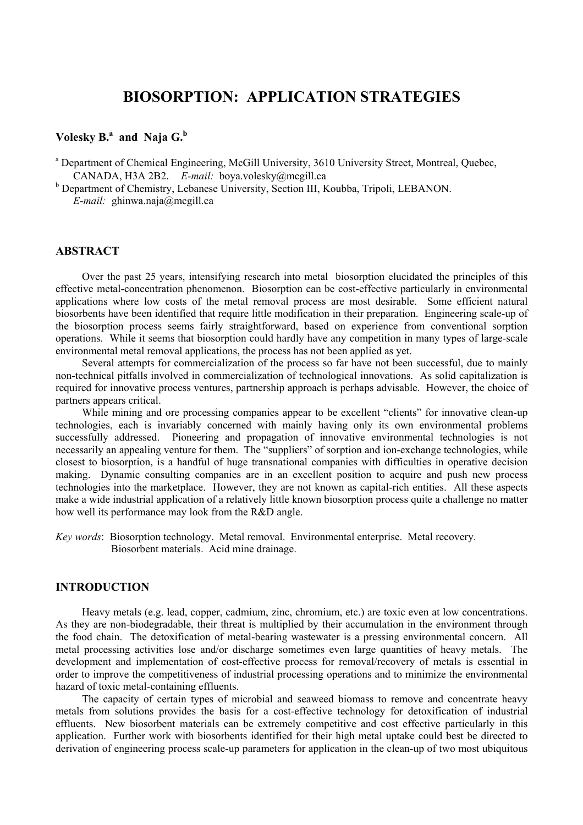# **BIOSORPTION: APPLICATION STRATEGIES**

# **Volesky B.<sup>a</sup> and Naja G.b**

<sup>a</sup> Department of Chemical Engineering, McGill University, 3610 University Street, Montreal, Quebec, CANADA, H3A 2B2. *E-mail:* boya.volesky@mcgill.ca

<sup>b</sup> Department of Chemistry, Lebanese University, Section III, Koubba, Tripoli, LEBANON. *E-mail:* ghinwa.naja@mcgill.ca

### **ABSTRACT**

Over the past 25 years, intensifying research into metal biosorption elucidated the principles of this effective metal-concentration phenomenon. Biosorption can be cost-effective particularly in environmental applications where low costs of the metal removal process are most desirable. Some efficient natural biosorbents have been identified that require little modification in their preparation. Engineering scale-up of the biosorption process seems fairly straightforward, based on experience from conventional sorption operations. While it seems that biosorption could hardly have any competition in many types of large-scale environmental metal removal applications, the process has not been applied as yet.

Several attempts for commercialization of the process so far have not been successful, due to mainly non-technical pitfalls involved in commercialization of technological innovations. As solid capitalization is required for innovative process ventures, partnership approach is perhaps advisable. However, the choice of partners appears critical.

While mining and ore processing companies appear to be excellent "clients" for innovative clean-up technologies, each is invariably concerned with mainly having only its own environmental problems successfully addressed. Pioneering and propagation of innovative environmental technologies is not necessarily an appealing venture for them. The "suppliers" of sorption and ion-exchange technologies, while closest to biosorption, is a handful of huge transnational companies with difficulties in operative decision making. Dynamic consulting companies are in an excellent position to acquire and push new process technologies into the marketplace. However, they are not known as capital-rich entities. All these aspects make a wide industrial application of a relatively little known biosorption process quite a challenge no matter how well its performance may look from the R&D angle.

*Key words*: Biosorption technology. Metal removal. Environmental enterprise. Metal recovery. Biosorbent materials. Acid mine drainage.

# **INTRODUCTION**

Heavy metals (e.g. lead, copper, cadmium, zinc, chromium, etc.) are toxic even at low concentrations. As they are non-biodegradable, their threat is multiplied by their accumulation in the environment through the food chain. The detoxification of metal-bearing wastewater is a pressing environmental concern. All metal processing activities lose and/or discharge sometimes even large quantities of heavy metals. The development and implementation of cost-effective process for removal/recovery of metals is essential in order to improve the competitiveness of industrial processing operations and to minimize the environmental hazard of toxic metal-containing effluents.

The capacity of certain types of microbial and seaweed biomass to remove and concentrate heavy metals from solutions provides the basis for a cost-effective technology for detoxification of industrial effluents. New biosorbent materials can be extremely competitive and cost effective particularly in this application. Further work with biosorbents identified for their high metal uptake could best be directed to derivation of engineering process scale-up parameters for application in the clean-up of two most ubiquitous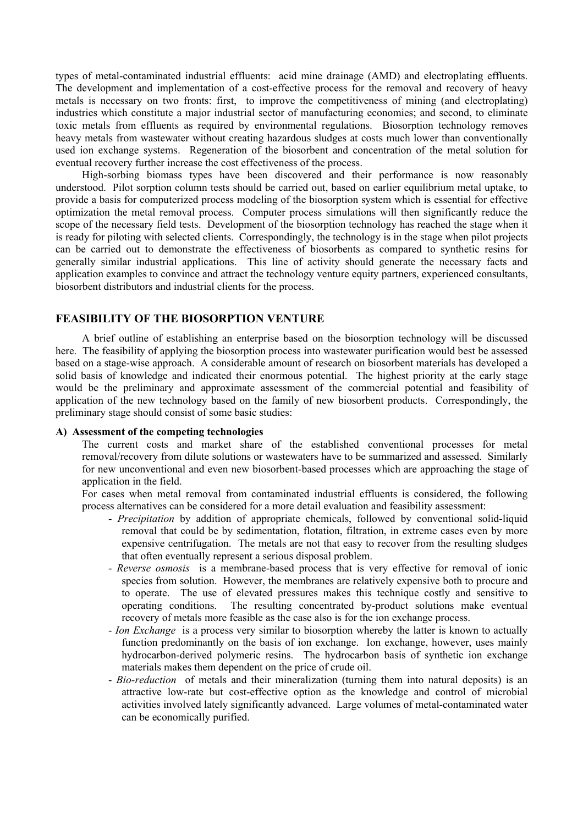types of metal-contaminated industrial effluents: acid mine drainage (AMD) and electroplating effluents. The development and implementation of a cost-effective process for the removal and recovery of heavy metals is necessary on two fronts: first, to improve the competitiveness of mining (and electroplating) industries which constitute a major industrial sector of manufacturing economies; and second, to eliminate toxic metals from effluents as required by environmental regulations. Biosorption technology removes heavy metals from wastewater without creating hazardous sludges at costs much lower than conventionally used ion exchange systems. Regeneration of the biosorbent and concentration of the metal solution for eventual recovery further increase the cost effectiveness of the process.

High-sorbing biomass types have been discovered and their performance is now reasonably understood. Pilot sorption column tests should be carried out, based on earlier equilibrium metal uptake, to provide a basis for computerized process modeling of the biosorption system which is essential for effective optimization the metal removal process. Computer process simulations will then significantly reduce the scope of the necessary field tests. Development of the biosorption technology has reached the stage when it is ready for piloting with selected clients. Correspondingly, the technology is in the stage when pilot projects can be carried out to demonstrate the effectiveness of biosorbents as compared to synthetic resins for generally similar industrial applications. This line of activity should generate the necessary facts and application examples to convince and attract the technology venture equity partners, experienced consultants, biosorbent distributors and industrial clients for the process.

# **FEASIBILITY OF THE BIOSORPTION VENTURE**

A brief outline of establishing an enterprise based on the biosorption technology will be discussed here. The feasibility of applying the biosorption process into wastewater purification would best be assessed based on a stage-wise approach. A considerable amount of research on biosorbent materials has developed a solid basis of knowledge and indicated their enormous potential. The highest priority at the early stage would be the preliminary and approximate assessment of the commercial potential and feasibility of application of the new technology based on the family of new biosorbent products. Correspondingly, the preliminary stage should consist of some basic studies:

#### **A) Assessment of the competing technologies**

The current costs and market share of the established conventional processes for metal removal/recovery from dilute solutions or wastewaters have to be summarized and assessed. Similarly for new unconventional and even new biosorbent-based processes which are approaching the stage of application in the field.

For cases when metal removal from contaminated industrial effluents is considered, the following process alternatives can be considered for a more detail evaluation and feasibility assessment:

- *Precipitation* by addition of appropriate chemicals, followed by conventional solid-liquid removal that could be by sedimentation, flotation, filtration, in extreme cases even by more expensive centrifugation. The metals are not that easy to recover from the resulting sludges that often eventually represent a serious disposal problem.
- *Reverse osmosis* is a membrane-based process that is very effective for removal of ionic species from solution. However, the membranes are relatively expensive both to procure and to operate. The use of elevated pressures makes this technique costly and sensitive to operating conditions. The resulting concentrated by-product solutions make eventual recovery of metals more feasible as the case also is for the ion exchange process.
- *Ion Exchange* is a process very similar to biosorption whereby the latter is known to actually function predominantly on the basis of ion exchange. Ion exchange, however, uses mainly hydrocarbon-derived polymeric resins. The hydrocarbon basis of synthetic ion exchange materials makes them dependent on the price of crude oil.
- *Bio-reduction* of metals and their mineralization (turning them into natural deposits) is an attractive low-rate but cost-effective option as the knowledge and control of microbial activities involved lately significantly advanced. Large volumes of metal-contaminated water can be economically purified.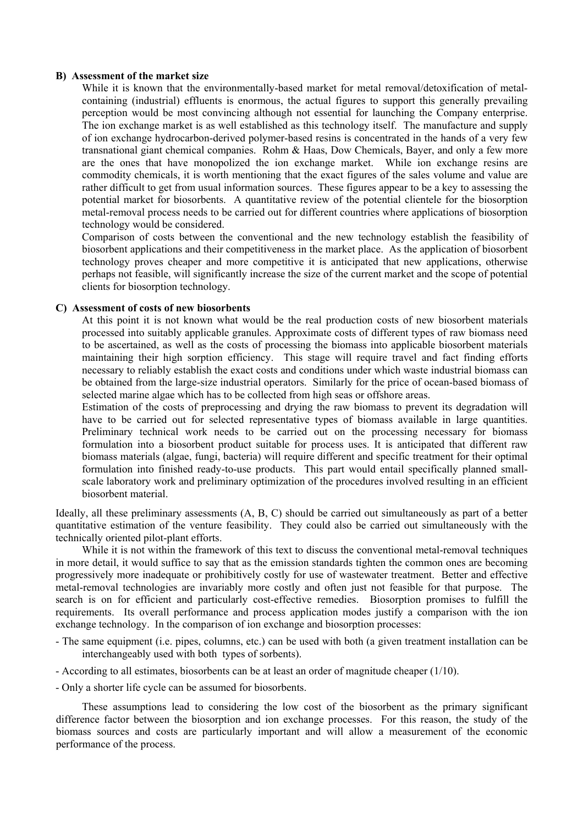#### **B) Assessment of the market size**

While it is known that the environmentally-based market for metal removal/detoxification of metalcontaining (industrial) effluents is enormous, the actual figures to support this generally prevailing perception would be most convincing although not essential for launching the Company enterprise. The ion exchange market is as well established as this technology itself. The manufacture and supply of ion exchange hydrocarbon-derived polymer-based resins is concentrated in the hands of a very few transnational giant chemical companies. Rohm & Haas, Dow Chemicals, Bayer, and only a few more are the ones that have monopolized the ion exchange market. While ion exchange resins are commodity chemicals, it is worth mentioning that the exact figures of the sales volume and value are rather difficult to get from usual information sources. These figures appear to be a key to assessing the potential market for biosorbents. A quantitative review of the potential clientele for the biosorption metal-removal process needs to be carried out for different countries where applications of biosorption technology would be considered.

Comparison of costs between the conventional and the new technology establish the feasibility of biosorbent applications and their competitiveness in the market place. As the application of biosorbent technology proves cheaper and more competitive it is anticipated that new applications, otherwise perhaps not feasible, will significantly increase the size of the current market and the scope of potential clients for biosorption technology.

### **C) Assessment of costs of new biosorbents**

At this point it is not known what would be the real production costs of new biosorbent materials processed into suitably applicable granules. Approximate costs of different types of raw biomass need to be ascertained, as well as the costs of processing the biomass into applicable biosorbent materials maintaining their high sorption efficiency. This stage will require travel and fact finding efforts necessary to reliably establish the exact costs and conditions under which waste industrial biomass can be obtained from the large-size industrial operators. Similarly for the price of ocean-based biomass of selected marine algae which has to be collected from high seas or offshore areas.

Estimation of the costs of preprocessing and drying the raw biomass to prevent its degradation will have to be carried out for selected representative types of biomass available in large quantities. Preliminary technical work needs to be carried out on the processing necessary for biomass formulation into a biosorbent product suitable for process uses. It is anticipated that different raw biomass materials (algae, fungi, bacteria) will require different and specific treatment for their optimal formulation into finished ready-to-use products. This part would entail specifically planned smallscale laboratory work and preliminary optimization of the procedures involved resulting in an efficient biosorbent material.

Ideally, all these preliminary assessments (A, B, C) should be carried out simultaneously as part of a better quantitative estimation of the venture feasibility. They could also be carried out simultaneously with the technically oriented pilot-plant efforts.

While it is not within the framework of this text to discuss the conventional metal-removal techniques in more detail, it would suffice to say that as the emission standards tighten the common ones are becoming progressively more inadequate or prohibitively costly for use of wastewater treatment. Better and effective metal-removal technologies are invariably more costly and often just not feasible for that purpose. The search is on for efficient and particularly cost-effective remedies. Biosorption promises to fulfill the requirements. Its overall performance and process application modes justify a comparison with the ion exchange technology. In the comparison of ion exchange and biosorption processes:

- The same equipment (i.e. pipes, columns, etc.) can be used with both (a given treatment installation can be interchangeably used with both types of sorbents).
- According to all estimates, biosorbents can be at least an order of magnitude cheaper (1/10).
- Only a shorter life cycle can be assumed for biosorbents.

These assumptions lead to considering the low cost of the biosorbent as the primary significant difference factor between the biosorption and ion exchange processes. For this reason, the study of the biomass sources and costs are particularly important and will allow a measurement of the economic performance of the process.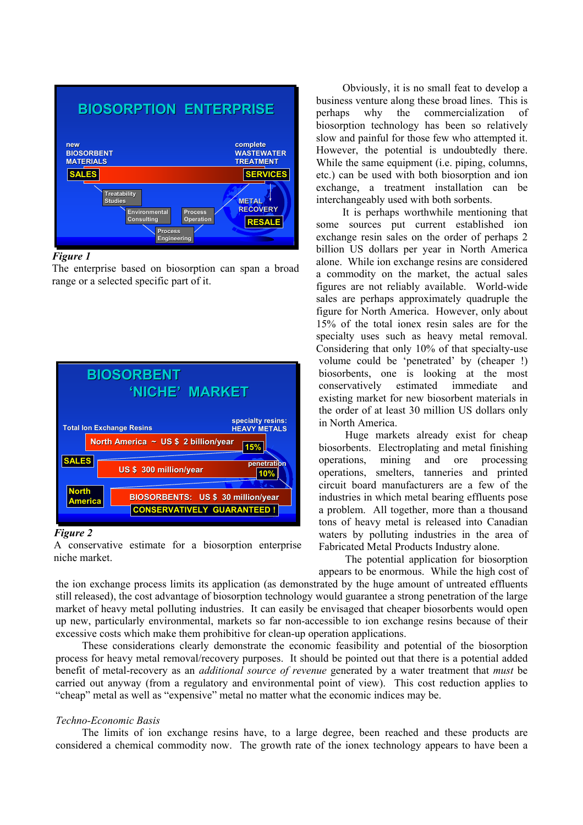

#### *Figure 1*

The enterprise based on biosorption can span a broad range or a selected specific part of it.



#### *Figure 2*

A conservative estimate for a biosorption enterprise niche market.

Obviously, it is no small feat to develop a business venture along these broad lines. This is perhaps why the commercialization of biosorption technology has been so relatively slow and painful for those few who attempted it. However, the potential is undoubtedly there. While the same equipment *(i.e. piping, columns,* etc.) can be used with both biosorption and ion exchange, a treatment installation can be interchangeably used with both sorbents.

It is perhaps worthwhile mentioning that some sources put current established ion exchange resin sales on the order of perhaps 2 billion US dollars per year in North America alone. While ion exchange resins are considered a commodity on the market, the actual sales figures are not reliably available. World-wide sales are perhaps approximately quadruple the figure for North America. However, only about 15% of the total ionex resin sales are for the specialty uses such as heavy metal removal. Considering that only 10% of that specialty-use volume could be 'penetrated' by (cheaper !) biosorbents, one is looking at the most conservatively estimated immediate and existing market for new biosorbent materials in the order of at least 30 million US dollars only in North America.

Huge markets already exist for cheap biosorbents. Electroplating and metal finishing operations, mining and ore processing operations, smelters, tanneries and printed circuit board manufacturers are a few of the industries in which metal bearing effluents pose a problem. All together, more than a thousand tons of heavy metal is released into Canadian waters by polluting industries in the area of Fabricated Metal Products Industry alone.

The potential application for biosorption appears to be enormous. While the high cost of

the ion exchange process limits its application (as demonstrated by the huge amount of untreated effluents still released), the cost advantage of biosorption technology would guarantee a strong penetration of the large market of heavy metal polluting industries. It can easily be envisaged that cheaper biosorbents would open up new, particularly environmental, markets so far non-accessible to ion exchange resins because of their excessive costs which make them prohibitive for clean-up operation applications.

These considerations clearly demonstrate the economic feasibility and potential of the biosorption process for heavy metal removal/recovery purposes. It should be pointed out that there is a potential added benefit of metal-recovery as an *additional source of revenue* generated by a water treatment that *must* be carried out anyway (from a regulatory and environmental point of view). This cost reduction applies to "cheap" metal as well as "expensive" metal no matter what the economic indices may be.

# *Techno-Economic Basis*

The limits of ion exchange resins have, to a large degree, been reached and these products are considered a chemical commodity now. The growth rate of the ionex technology appears to have been a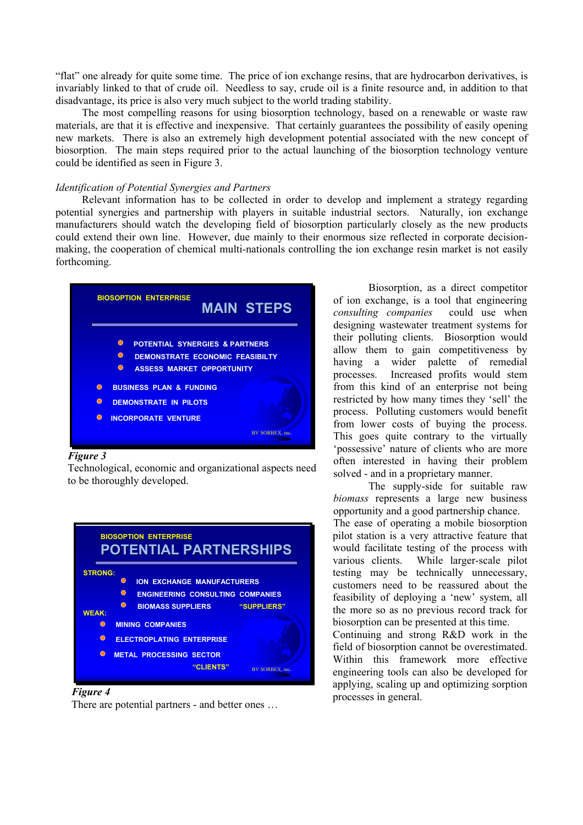"flat" one already for quite some time. The price of ion exchange resins, that are hydrocarbon derivatives, is invariably linked to that of crude oil. Needless to say, crude oil is a finite resource and, in addition to that disadvantage, its price is also very much subject to the world trading stability.

The most compelling reasons for using biosorption technology, based on a renewable or waste raw materials, are that it is effective and inexpensive. That certainly guarantees the possibility of easily opening new markets. There is also an extremely high development potential associated with the new concept of biosorption. The main steps required prior to the actual launching of the biosorption technology venture could be identified as seen in Figure 3.

## *Identification of Potential Synergies and Partners*

Relevant information has to be collected in order to develop and implement a strategy regarding potential synergies and partnership with players in suitable industrial sectors. Naturally, ion exchange manufacturers should watch the developing field of biosorption particularly closely as the new products could extend their own line. However, due mainly to their enormous size reflected in corporate decisionmaking, the cooperation of chemical multi-nationals controlling the ion exchange resin market is not easily forthcoming.



#### *Figure 3*

Technological, economic and organizational aspects need to be thoroughly developed.<br>The supply-side for suitable raw



#### *Figure 4*

There are potential partners - and better ones …

Biosorption, as a direct competitor of ion exchange, is a tool that engineering *consulting companies* could use when designing wastewater treatment systems for their polluting clients. Biosorption would allow them to gain competitiveness by having a wider palette of remedial processes. Increased profits would stem from this kind of an enterprise not being restricted by how many times they 'sell' the process. Polluting customers would benefit from lower costs of buying the process. This goes quite contrary to the virtually 'possessive' nature of clients who are more often interested in having their problem solved - and in a proprietary manner.

*biomass* represents a large new business opportunity and a good partnership chance. The ease of operating a mobile biosorption pilot station is a very attractive feature that would facilitate testing of the process with various clients. While larger-scale pilot testing may be technically unnecessary, customers need to be reassured about the feasibility of deploying a 'new' system, all the more so as no previous record track for biosorption can be presented at this time.

Continuing and strong R&D work in the field of biosorption cannot be overestimated. Within this framework more effective engineering tools can also be developed for applying, scaling up and optimizing sorption processes in general.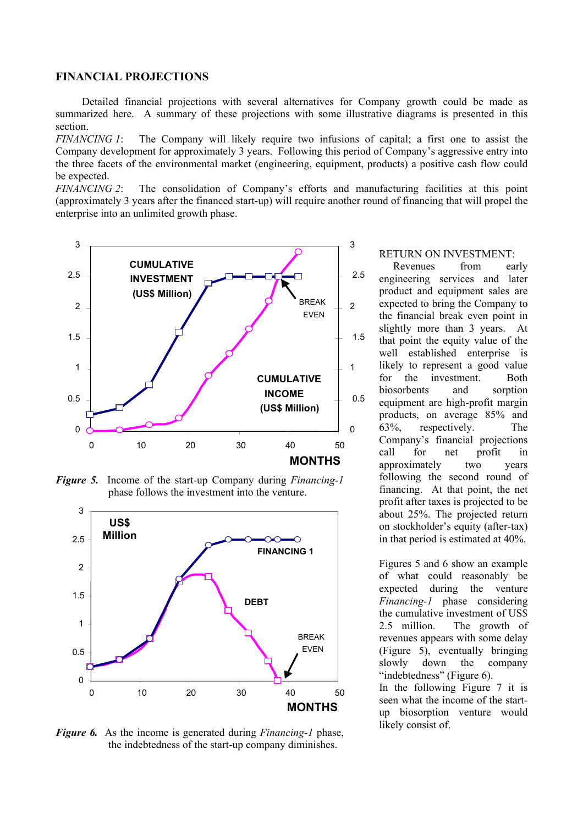# **FINANCIAL PROJECTIONS**

Detailed financial projections with several alternatives for Company growth could be made as summarized here. A summary of these projections with some illustrative diagrams is presented in this section.

*FINANCING 1*: The Company will likely require two infusions of capital; a first one to assist the Company development for approximately 3 years. Following this period of Company's aggressive entry into the three facets of the environmental market (engineering, equipment, products) a positive cash flow could be expected.<br>FINANCING 2:

The consolidation of Company's efforts and manufacturing facilities at this point (approximately 3 years after the financed start-up) will require another round of financing that will propel the enterprise into an unlimited growth phase.



*Figure 5.* Income of the start-up Company during *Financing-1* phase follows the investment into the venture.



*Figure 6.* As the income is generated during *Financing-1* phase, the indebtedness of the start-up company diminishes.

#### RETURN ON INVESTMENT:

Revenues from early engineering services and later product and equipment sales are expected to bring the Company to the financial break even point in slightly more than 3 years. At that point the equity value of the well established enterprise is likely to represent a good value for the investment. Both biosorbents and sorption equipment are high-profit margin products, on average 85% and 63%, respectively. The Company's financial projections call for net profit in approximately two years following the second round of financing. At that point, the net profit after taxes is projected to be about 25%. The projected return on stockholder's equity (after-tax) in that period is estimated at 40%.

Figures 5 and 6 show an example of what could reasonably be expected during the venture *Financing-1* phase considering the cumulative investment of US\$ 2.5 million. The growth of revenues appears with some delay (Figure 5), eventually bringing slowly down the company "indebtedness" (Figure 6).

In the following Figure 7 it is seen what the income of the startup biosorption venture would likely consist of.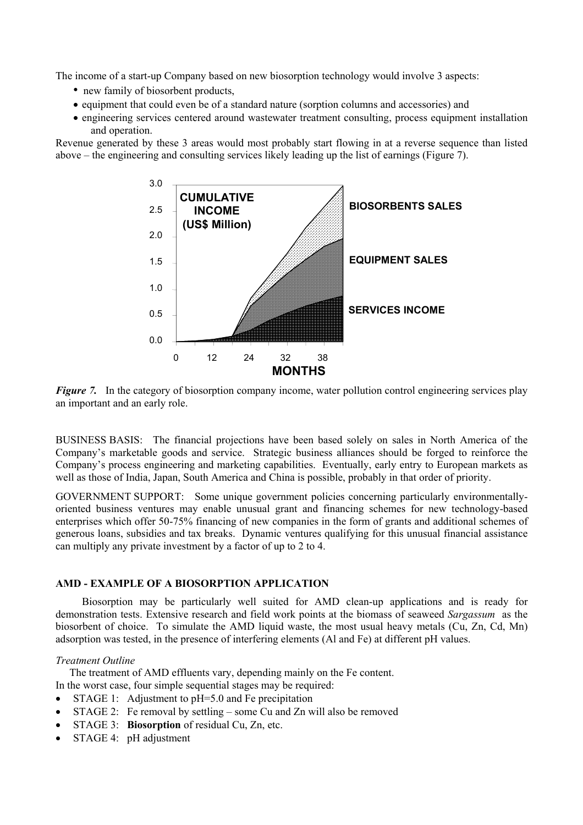The income of a start-up Company based on new biosorption technology would involve 3 aspects:

- new family of biosorbent products,
- equipment that could even be of a standard nature (sorption columns and accessories) and
- engineering services centered around wastewater treatment consulting, process equipment installation and operation.

Revenue generated by these 3 areas would most probably start flowing in at a reverse sequence than listed above – the engineering and consulting services likely leading up the list of earnings (Figure 7).



*Figure 7.* In the category of biosorption company income, water pollution control engineering services play an important and an early role.

BUSINESS BASIS: The financial projections have been based solely on sales in North America of the Company's marketable goods and service. Strategic business alliances should be forged to reinforce the Company's process engineering and marketing capabilities. Eventually, early entry to European markets as well as those of India, Japan, South America and China is possible, probably in that order of priority.

GOVERNMENT SUPPORT: Some unique government policies concerning particularly environmentallyoriented business ventures may enable unusual grant and financing schemes for new technology-based enterprises which offer 50-75% financing of new companies in the form of grants and additional schemes of generous loans, subsidies and tax breaks. Dynamic ventures qualifying for this unusual financial assistance can multiply any private investment by a factor of up to 2 to 4.

# **AMD - EXAMPLE OF A BIOSORPTION APPLICATION**

Biosorption may be particularly well suited for AMD clean-up applications and is ready for demonstration tests. Extensive research and field work points at the biomass of seaweed *Sargassum* as the biosorbent of choice. To simulate the AMD liquid waste, the most usual heavy metals (Cu, Zn, Cd, Mn) adsorption was tested, in the presence of interfering elements (Al and Fe) at different pH values.

# *Treatment Outline*

The treatment of AMD effluents vary, depending mainly on the Fe content.

- In the worst case, four simple sequential stages may be required:
- STAGE 1: Adjustment to pH=5.0 and Fe precipitation
- STAGE 2: Fe removal by settling some Cu and Zn will also be removed
- STAGE 3: **Biosorption** of residual Cu, Zn, etc.
- STAGE 4: pH adjustment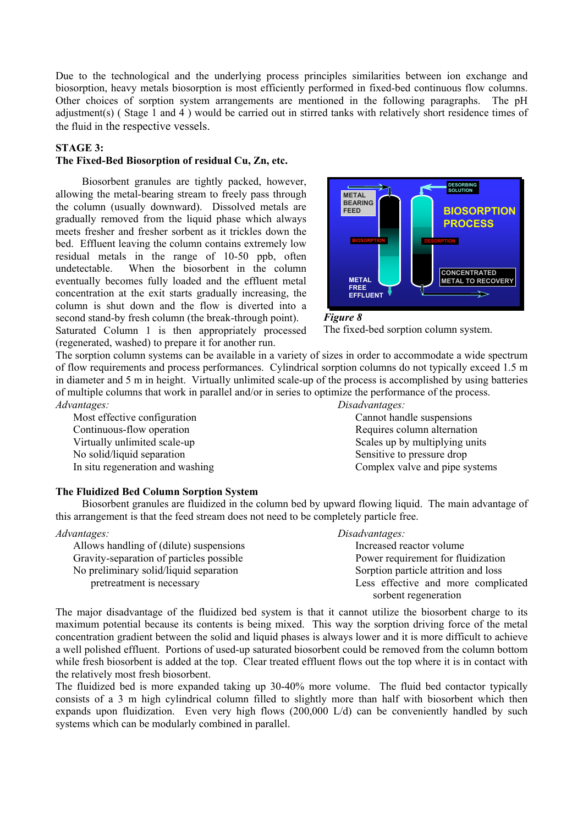Due to the technological and the underlying process principles similarities between ion exchange and biosorption, heavy metals biosorption is most efficiently performed in fixed-bed continuous flow columns. Other choices of sorption system arrangements are mentioned in the following paragraphs. The pH adjustment(s) ( Stage 1 and 4 ) would be carried out in stirred tanks with relatively short residence times of the fluid in the respective vessels.

# **STAGE 3:**

# **The Fixed-Bed Biosorption of residual Cu, Zn, etc.**

Biosorbent granules are tightly packed, however, allowing the metal-bearing stream to freely pass through the column (usually downward). Dissolved metals are gradually removed from the liquid phase which always meets fresher and fresher sorbent as it trickles down the bed. Effluent leaving the column contains extremely low residual metals in the range of 10-50 ppb, often undetectable. When the biosorbent in the column eventually becomes fully loaded and the effluent metal concentration at the exit starts gradually increasing, the column is shut down and the flow is diverted into a second stand-by fresh column (the break-through point).

Saturated Column 1 is then appropriately processed The fixed-bed sorption column system. (regenerated, washed) to prepare it for another run.



*Figure 8* 

The sorption column systems can be available in a variety of sizes in order to accommodate a wide spectrum of flow requirements and process performances. Cylindrical sorption columns do not typically exceed 1.5 m in diameter and 5 m in height. Virtually unlimited scale-up of the process is accomplished by using batteries of multiple columns that work in parallel and/or in series to optimize the performance of the process. *Advantages: Disadvantages:*

Most effective configuration Cannot handle suspensions Continuous-flow operation **Requires column alternation** Requires column alternation Virtually unlimited scale-up Scales up Scales up by multiplying units No solid/liquid separation Sensitive to pressure drop In situ regeneration and washing Complex valve and pipe systems

#### **The Fluidized Bed Column Sorption System**

Biosorbent granules are fluidized in the column bed by upward flowing liquid. The main advantage of this arrangement is that the feed stream does not need to be completely particle free.

Allows handling of (dilute) suspensions Increased reactor volume Gravity-separation of particles possible Power requirement for fluidization No preliminary solid/liquid separation Sorption particle attrition and loss

# *Advantages: Disadvantages:*

pretreatment is necessary **Less effective and more complicated** sorbent regeneration

The major disadvantage of the fluidized bed system is that it cannot utilize the biosorbent charge to its maximum potential because its contents is being mixed. This way the sorption driving force of the metal concentration gradient between the solid and liquid phases is always lower and it is more difficult to achieve a well polished effluent. Portions of used-up saturated biosorbent could be removed from the column bottom while fresh biosorbent is added at the top. Clear treated effluent flows out the top where it is in contact with the relatively most fresh biosorbent.

The fluidized bed is more expanded taking up 30-40% more volume. The fluid bed contactor typically consists of a 3 m high cylindrical column filled to slightly more than half with biosorbent which then expands upon fluidization. Even very high flows (200,000 L/d) can be conveniently handled by such systems which can be modularly combined in parallel.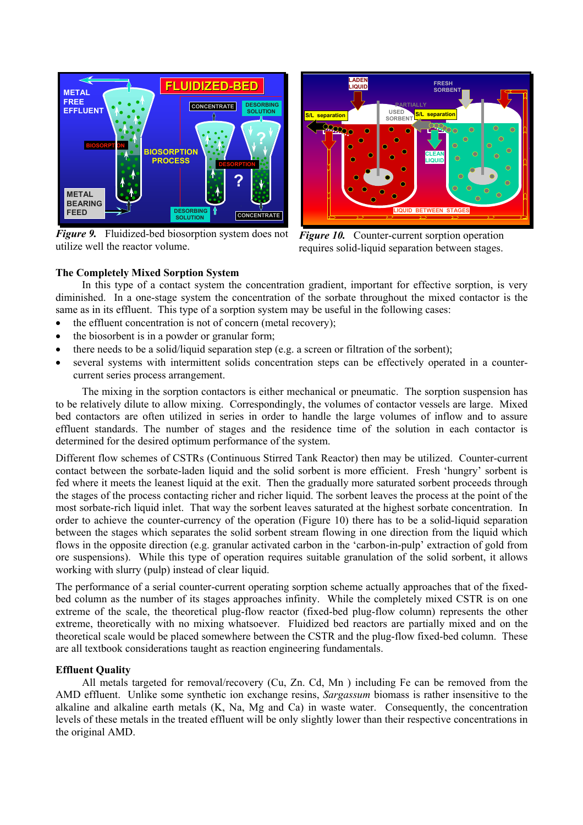

*Figure 9.*Fluidized-bed biosorption system does not utilize well the reactor volume.



*Figure 10.* Counter-current sorption operation requires solid-liquid separation between stages.

# **The Completely Mixed Sorption System**

In this type of a contact system the concentration gradient, important for effective sorption, is very diminished. In a one-stage system the concentration of the sorbate throughout the mixed contactor is the same as in its effluent. This type of a sorption system may be useful in the following cases:

- the effluent concentration is not of concern (metal recovery);
- the biosorbent is in a powder or granular form;
- there needs to be a solid/liquid separation step (e.g. a screen or filtration of the sorbent);
- several systems with intermittent solids concentration steps can be effectively operated in a countercurrent series process arrangement.

The mixing in the sorption contactors is either mechanical or pneumatic. The sorption suspension has to be relatively dilute to allow mixing. Correspondingly, the volumes of contactor vessels are large. Mixed bed contactors are often utilized in series in order to handle the large volumes of inflow and to assure effluent standards. The number of stages and the residence time of the solution in each contactor is determined for the desired optimum performance of the system.

Different flow schemes of CSTRs (Continuous Stirred Tank Reactor) then may be utilized. Counter-current contact between the sorbate-laden liquid and the solid sorbent is more efficient. Fresh 'hungry' sorbent is fed where it meets the leanest liquid at the exit. Then the gradually more saturated sorbent proceeds through the stages of the process contacting richer and richer liquid. The sorbent leaves the process at the point of the most sorbate-rich liquid inlet. That way the sorbent leaves saturated at the highest sorbate concentration. In order to achieve the counter-currency of the operation (Figure 10) there has to be a solid-liquid separation between the stages which separates the solid sorbent stream flowing in one direction from the liquid which flows in the opposite direction (e.g. granular activated carbon in the 'carbon-in-pulp' extraction of gold from ore suspensions). While this type of operation requires suitable granulation of the solid sorbent, it allows working with slurry (pulp) instead of clear liquid.

The performance of a serial counter-current operating sorption scheme actually approaches that of the fixedbed column as the number of its stages approaches infinity. While the completely mixed CSTR is on one extreme of the scale, the theoretical plug-flow reactor (fixed-bed plug-flow column) represents the other extreme, theoretically with no mixing whatsoever. Fluidized bed reactors are partially mixed and on the theoretical scale would be placed somewhere between the CSTR and the plug-flow fixed-bed column. These are all textbook considerations taught as reaction engineering fundamentals.

# **Effluent Quality**

All metals targeted for removal/recovery (Cu, Zn. Cd, Mn ) including Fe can be removed from the AMD effluent. Unlike some synthetic ion exchange resins, *Sargassum* biomass is rather insensitive to the alkaline and alkaline earth metals (K, Na, Mg and Ca) in waste water. Consequently, the concentration levels of these metals in the treated effluent will be only slightly lower than their respective concentrations in the original AMD.